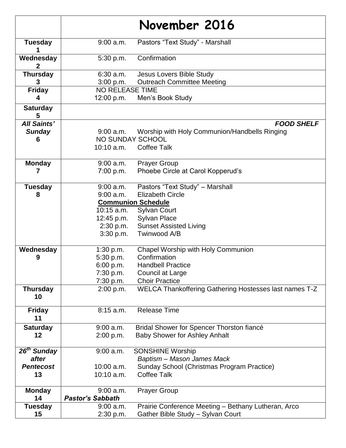|                                          |                                                                                                             | November 2016                                                                                                                                             |
|------------------------------------------|-------------------------------------------------------------------------------------------------------------|-----------------------------------------------------------------------------------------------------------------------------------------------------------|
| <b>Tuesday</b>                           | 9:00 a.m.                                                                                                   | Pastors "Text Study" - Marshall                                                                                                                           |
| Wednesday                                | 5:30 p.m.                                                                                                   | Confirmation                                                                                                                                              |
| <b>Thursday</b>                          | 6:30 a.m.<br>3:00 p.m.                                                                                      | Jesus Lovers Bible Study<br><b>Outreach Committee Meeting</b>                                                                                             |
| <b>Friday</b>                            | <b>NO RELEASE TIME</b>                                                                                      | 12:00 p.m. Men's Book Study                                                                                                                               |
| <b>Saturday</b><br>5                     |                                                                                                             |                                                                                                                                                           |
| <b>All Saints'</b><br><b>Sunday</b><br>6 | $9:00$ a.m.<br>NO SUNDAY SCHOOL<br>10:10 a.m.                                                               | <b>FOOD SHELF</b><br>Worship with Holy Communion/Handbells Ringing<br><b>Coffee Talk</b>                                                                  |
| <b>Monday</b><br>7                       | 9:00 a.m.<br>7:00 p.m.                                                                                      | <b>Prayer Group</b><br>Phoebe Circle at Carol Kopperud's                                                                                                  |
| <b>Tuesday</b><br>8                      | 9:00 a.m.<br>$9:00$ a.m.<br><b>Communion Schedule</b><br>10:15 a.m.<br>12:45 p.m.<br>2:30 p.m.<br>3:30 p.m. | Pastors "Text Study" - Marshall<br><b>Elizabeth Circle</b><br><b>Sylvan Court</b><br><b>Sylvan Place</b><br><b>Sunset Assisted Living</b><br>Twinwood A/B |
| Wednesday<br>9                           | 1:30 p.m.<br>5:30 p.m.<br>6:00 p.m.<br>7:30 p.m.<br>7:30 p.m.                                               | Chapel Worship with Holy Communion<br>Confirmation<br><b>Handbell Practice</b><br>Council at Large<br><b>Choir Practice</b>                               |
| <b>Thursday</b><br>10                    | 2:00 p.m.                                                                                                   | WELCA Thankoffering Gathering Hostesses last names T-Z                                                                                                    |
| <b>Friday</b><br>11                      | 8:15 a.m.                                                                                                   | <b>Release Time</b>                                                                                                                                       |
| <b>Saturday</b><br>12                    | $9:00$ a.m.<br>2:00 p.m.                                                                                    | Bridal Shower for Spencer Thorston fiancé<br><b>Baby Shower for Ashley Anhalt</b>                                                                         |
| 26 <sup>th</sup> Sunday<br>after         | $9:00$ a.m.                                                                                                 | <b>SONSHINE Worship</b><br>Baptism - Mason James Mack                                                                                                     |
| <b>Pentecost</b><br>13                   | 10:00 a.m.<br>10:10 a.m.                                                                                    | Sunday School (Christmas Program Practice)<br><b>Coffee Talk</b>                                                                                          |
| <b>Monday</b><br>14                      | $9:00$ a.m.<br><b>Pastor's Sabbath</b>                                                                      | <b>Prayer Group</b>                                                                                                                                       |
| <b>Tuesday</b><br>15                     | $9:00$ a.m.<br>2:30 p.m.                                                                                    | Prairie Conference Meeting - Bethany Lutheran, Arco<br>Gather Bible Study - Sylvan Court                                                                  |